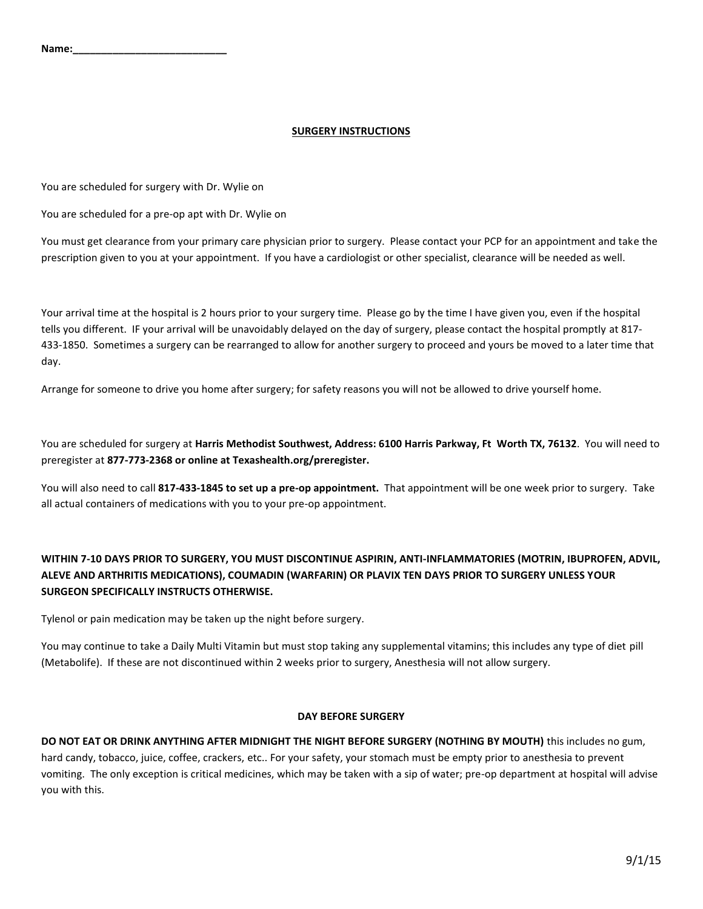### **SURGERY INSTRUCTIONS**

You are scheduled for surgery with Dr. Wylie on

You are scheduled for a pre-op apt with Dr. Wylie on

You must get clearance from your primary care physician prior to surgery. Please contact your PCP for an appointment and take the prescription given to you at your appointment. If you have a cardiologist or other specialist, clearance will be needed as well.

Your arrival time at the hospital is 2 hours prior to your surgery time. Please go by the time I have given you, even if the hospital tells you different. IF your arrival will be unavoidably delayed on the day of surgery, please contact the hospital promptly at 817- 433-1850. Sometimes a surgery can be rearranged to allow for another surgery to proceed and yours be moved to a later time that day.

Arrange for someone to drive you home after surgery; for safety reasons you will not be allowed to drive yourself home.

You are scheduled for surgery at **Harris Methodist Southwest, Address: 6100 Harris Parkway, Ft Worth TX, 76132**. You will need to preregister at **877-773-2368 or online at Texashealth.org/preregister.**

You will also need to call **817-433-1845 to set up a pre-op appointment.** That appointment will be one week prior to surgery. Take all actual containers of medications with you to your pre-op appointment.

# **WITHIN 7-10 DAYS PRIOR TO SURGERY, YOU MUST DISCONTINUE ASPIRIN, ANTI-INFLAMMATORIES (MOTRIN, IBUPROFEN, ADVIL, ALEVE AND ARTHRITIS MEDICATIONS), COUMADIN (WARFARIN) OR PLAVIX TEN DAYS PRIOR TO SURGERY UNLESS YOUR SURGEON SPECIFICALLY INSTRUCTS OTHERWISE.**

Tylenol or pain medication may be taken up the night before surgery.

You may continue to take a Daily Multi Vitamin but must stop taking any supplemental vitamins; this includes any type of diet pill (Metabolife). If these are not discontinued within 2 weeks prior to surgery, Anesthesia will not allow surgery.

#### **DAY BEFORE SURGERY**

**DO NOT EAT OR DRINK ANYTHING AFTER MIDNIGHT THE NIGHT BEFORE SURGERY (NOTHING BY MOUTH)** this includes no gum, hard candy, tobacco, juice, coffee, crackers, etc.. For your safety, your stomach must be empty prior to anesthesia to prevent vomiting. The only exception is critical medicines, which may be taken with a sip of water; pre-op department at hospital will advise you with this.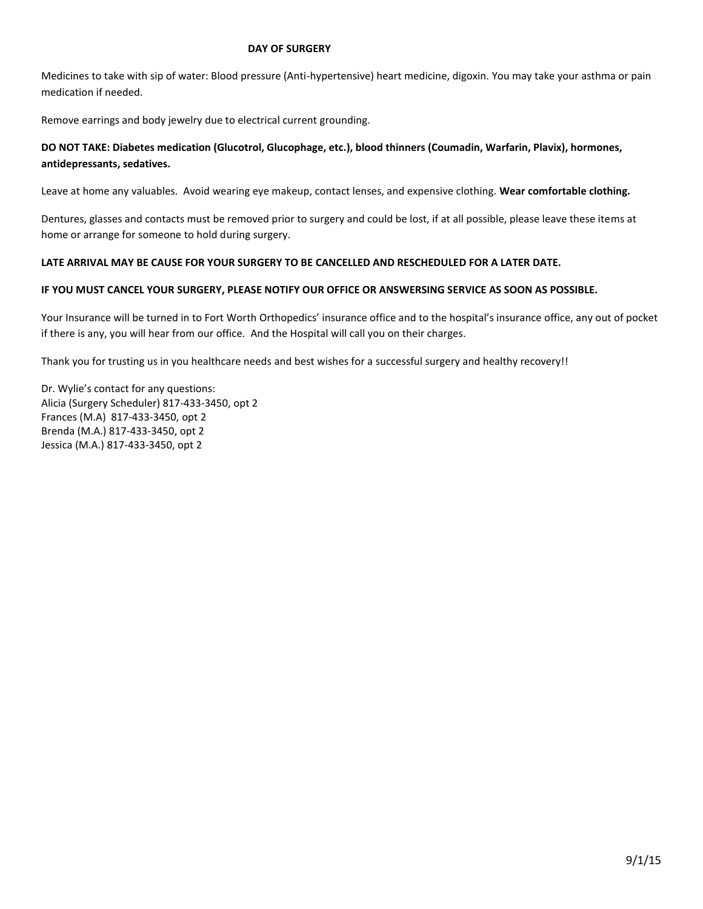### **DAY OF SURGERY**

Medicines to take with sip of water: Blood pressure (Anti-hypertensive) heart medicine, digoxin. You may take your asthma or pain medication if needed.

Remove earrings and body jewelry due to electrical current grounding.

### **DO NOT TAKE: Diabetes medication (Glucotrol, Glucophage, etc.), blood thinners (Coumadin, Warfarin, Plavix), hormones, antidepressants, sedatives.**

Leave at home any valuables. Avoid wearing eye makeup, contact lenses, and expensive clothing. **Wear comfortable clothing.** 

Dentures, glasses and contacts must be removed prior to surgery and could be lost, if at all possible, please leave these items at home or arrange for someone to hold during surgery.

### **LATE ARRIVAL MAY BE CAUSE FOR YOUR SURGERY TO BE CANCELLED AND RESCHEDULED FOR A LATER DATE.**

### **IF YOU MUST CANCEL YOUR SURGERY, PLEASE NOTIFY OUR OFFICE OR ANSWERSING SERVICE AS SOON AS POSSIBLE.**

Your Insurance will be turned in to Fort Worth Orthopedics' insurance office and to the hospital's insurance office, any out of pocket if there is any, you will hear from our office. And the Hospital will call you on their charges.

Thank you for trusting us in you healthcare needs and best wishes for a successful surgery and healthy recovery!!

Dr. Wylie's contact for any questions: Alicia (Surgery Scheduler) 817-433-3450, opt 2 Frances (M.A) 817-433-3450, opt 2 Brenda (M.A.) 817-433-3450, opt 2 Jessica (M.A.) 817-433-3450, opt 2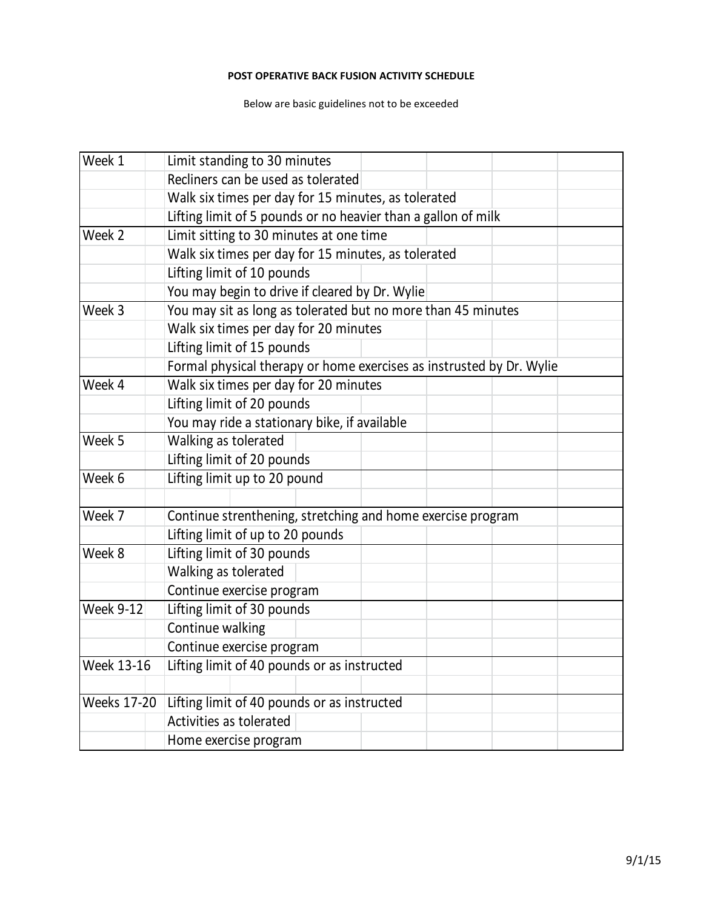# **POST OPERATIVE BACK FUSION ACTIVITY SCHEDULE**

Below are basic guidelines not to be exceeded

| Week 1             | Limit standing to 30 minutes                                         |
|--------------------|----------------------------------------------------------------------|
|                    | Recliners can be used as tolerated                                   |
|                    | Walk six times per day for 15 minutes, as tolerated                  |
|                    | Lifting limit of 5 pounds or no heavier than a gallon of milk        |
| Week 2             | Limit sitting to 30 minutes at one time                              |
|                    | Walk six times per day for 15 minutes, as tolerated                  |
|                    | Lifting limit of 10 pounds                                           |
|                    | You may begin to drive if cleared by Dr. Wylie                       |
| Week 3             | You may sit as long as tolerated but no more than 45 minutes         |
|                    | Walk six times per day for 20 minutes                                |
|                    | Lifting limit of 15 pounds                                           |
|                    | Formal physical therapy or home exercises as instrusted by Dr. Wylie |
| Week 4             | Walk six times per day for 20 minutes                                |
|                    | Lifting limit of 20 pounds                                           |
|                    | You may ride a stationary bike, if available                         |
| Week 5             | Walking as tolerated                                                 |
|                    | Lifting limit of 20 pounds                                           |
| Week 6             | Lifting limit up to 20 pound                                         |
|                    |                                                                      |
| Week 7             | Continue strenthening, stretching and home exercise program          |
|                    | Lifting limit of up to 20 pounds                                     |
| Week 8             | Lifting limit of 30 pounds                                           |
|                    | Walking as tolerated                                                 |
|                    | Continue exercise program                                            |
| <b>Week 9-12</b>   | Lifting limit of 30 pounds                                           |
|                    | Continue walking                                                     |
|                    | Continue exercise program                                            |
| <b>Week 13-16</b>  | Lifting limit of 40 pounds or as instructed                          |
|                    |                                                                      |
| <b>Weeks 17-20</b> | Lifting limit of 40 pounds or as instructed                          |
|                    | Activities as tolerated                                              |
|                    | Home exercise program                                                |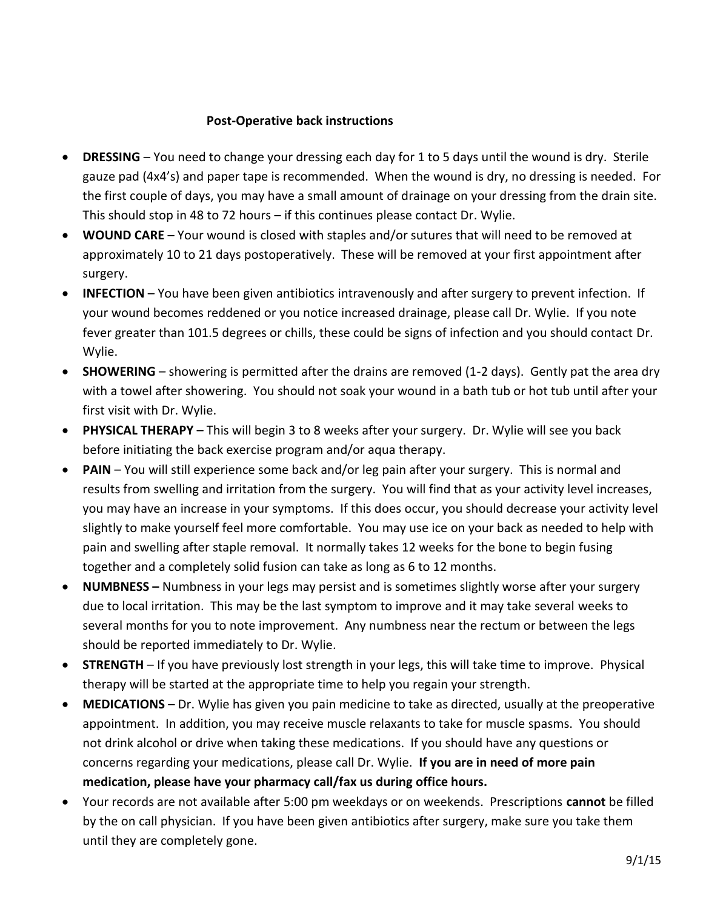# **Post-Operative back instructions**

- **DRESSING**  You need to change your dressing each day for 1 to 5 days until the wound is dry. Sterile gauze pad (4x4's) and paper tape is recommended. When the wound is dry, no dressing is needed. For the first couple of days, you may have a small amount of drainage on your dressing from the drain site. This should stop in 48 to 72 hours – if this continues please contact Dr. Wylie.
- **WOUND CARE** Your wound is closed with staples and/or sutures that will need to be removed at approximately 10 to 21 days postoperatively. These will be removed at your first appointment after surgery.
- **INFECTION**  You have been given antibiotics intravenously and after surgery to prevent infection. If your wound becomes reddened or you notice increased drainage, please call Dr. Wylie. If you note fever greater than 101.5 degrees or chills, these could be signs of infection and you should contact Dr. Wylie.
- **SHOWERING**  showering is permitted after the drains are removed (1-2 days). Gently pat the area dry with a towel after showering. You should not soak your wound in a bath tub or hot tub until after your first visit with Dr. Wylie.
- **PHYSICAL THERAPY** This will begin 3 to 8 weeks after your surgery. Dr. Wylie will see you back before initiating the back exercise program and/or aqua therapy.
- **PAIN**  You will still experience some back and/or leg pain after your surgery. This is normal and results from swelling and irritation from the surgery. You will find that as your activity level increases, you may have an increase in your symptoms. If this does occur, you should decrease your activity level slightly to make yourself feel more comfortable. You may use ice on your back as needed to help with pain and swelling after staple removal. It normally takes 12 weeks for the bone to begin fusing together and a completely solid fusion can take as long as 6 to 12 months.
- **NUMBNESS –** Numbness in your legs may persist and is sometimes slightly worse after your surgery due to local irritation. This may be the last symptom to improve and it may take several weeks to several months for you to note improvement. Any numbness near the rectum or between the legs should be reported immediately to Dr. Wylie.
- **STRENGTH**  If you have previously lost strength in your legs, this will take time to improve. Physical therapy will be started at the appropriate time to help you regain your strength.
- **MEDICATIONS** Dr. Wylie has given you pain medicine to take as directed, usually at the preoperative appointment. In addition, you may receive muscle relaxants to take for muscle spasms. You should not drink alcohol or drive when taking these medications. If you should have any questions or concerns regarding your medications, please call Dr. Wylie. **If you are in need of more pain medication, please have your pharmacy call/fax us during office hours.**
- Your records are not available after 5:00 pm weekdays or on weekends. Prescriptions **cannot** be filled by the on call physician. If you have been given antibiotics after surgery, make sure you take them until they are completely gone.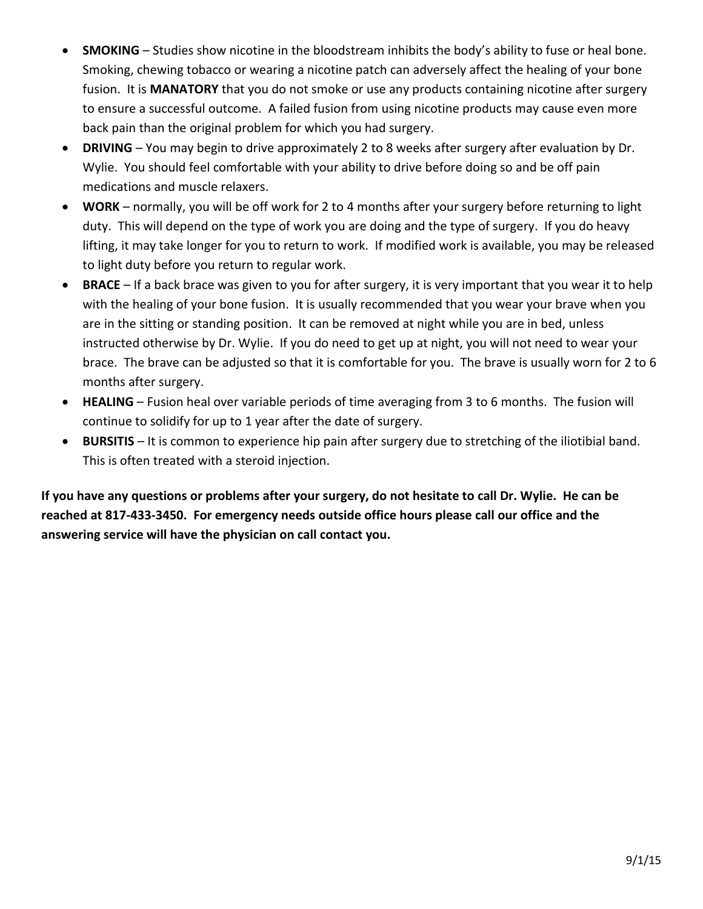- **SMOKING** Studies show nicotine in the bloodstream inhibits the body's ability to fuse or heal bone. Smoking, chewing tobacco or wearing a nicotine patch can adversely affect the healing of your bone fusion. It is **MANATORY** that you do not smoke or use any products containing nicotine after surgery to ensure a successful outcome. A failed fusion from using nicotine products may cause even more back pain than the original problem for which you had surgery.
- **DRIVING**  You may begin to drive approximately 2 to 8 weeks after surgery after evaluation by Dr. Wylie. You should feel comfortable with your ability to drive before doing so and be off pain medications and muscle relaxers.
- **WORK** normally, you will be off work for 2 to 4 months after your surgery before returning to light duty. This will depend on the type of work you are doing and the type of surgery. If you do heavy lifting, it may take longer for you to return to work. If modified work is available, you may be released to light duty before you return to regular work.
- **BRACE** If a back brace was given to you for after surgery, it is very important that you wear it to help with the healing of your bone fusion. It is usually recommended that you wear your brave when you are in the sitting or standing position. It can be removed at night while you are in bed, unless instructed otherwise by Dr. Wylie. If you do need to get up at night, you will not need to wear your brace. The brave can be adjusted so that it is comfortable for you. The brave is usually worn for 2 to 6 months after surgery.
- **HEALING** Fusion heal over variable periods of time averaging from 3 to 6 months. The fusion will continue to solidify for up to 1 year after the date of surgery.
- **BURSITIS**  It is common to experience hip pain after surgery due to stretching of the iliotibial band. This is often treated with a steroid injection.

**If you have any questions or problems after your surgery, do not hesitate to call Dr. Wylie. He can be reached at 817-433-3450. For emergency needs outside office hours please call our office and the answering service will have the physician on call contact you.**